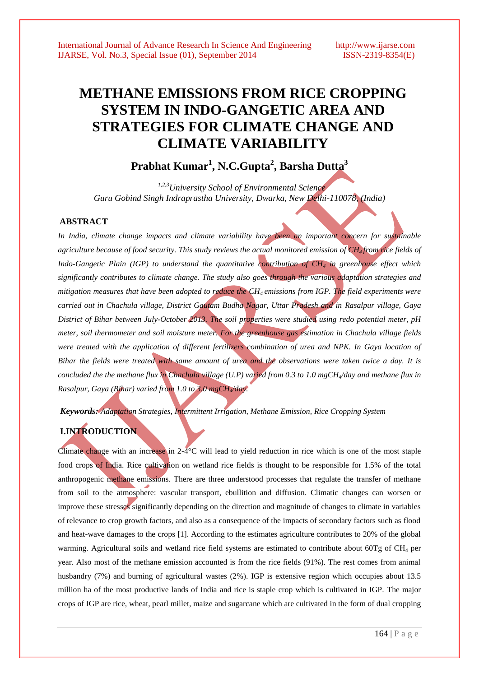# **METHANE EMISSIONS FROM RICE CROPPING SYSTEM IN INDO-GANGETIC AREA AND STRATEGIES FOR CLIMATE CHANGE AND CLIMATE VARIABILITY**

**Prabhat Kumar<sup>1</sup> , N.C.Gupta<sup>2</sup> , Barsha Dutta<sup>3</sup>**

 *1,2,3University School of Environmental Science Guru Gobind Singh Indraprastha University, Dwarka, New Delhi-110078, (India)*

### **ABSTRACT**

*In India, climate change impacts and climate variability have been an important concern for sustainable agriculture because of food security. This study reviews the actual monitored emission of CH4 from rice fields of Indo-Gangetic Plain (IGP) to understand the quantitative contribution of CH<sup>4</sup> in greenhouse effect which significantly contributes to climate change. The study also goes through the various adaptation strategies and mitigation measures that have been adopted to reduce the CH4 emissions from IGP. The field experiments were carried out in Chachula village, District Gautam Budha Nagar, Uttar Pradesh and in Rasalpur village, Gaya District of Bihar between July-October 2013. The soil properties were studied using redo potential meter, pH meter, soil thermometer and soil moisture meter. For the greenhouse gas estimation in Chachula village fields were treated with the application of different fertilizers combination of urea and NPK. In Gaya location of Bihar the fields were treated with same amount of urea and the observations were taken twice a day. It is concluded the the methane flux in Chachula village (U.P) varied from 0.3 to 1.0 mgCH4/day and methane flux in Rasalpur, Gaya (Bihar) varied from 1.0 to 3.0 mgCH4/day.* 

*Keywords: Adaptation Strategies, Intermittent Irrigation, Methane Emission, Rice Cropping System*

# **I.INTRODUCTION**

Climate change with an increase in 2-4°C will lead to yield reduction in rice which is one of the most staple food crops of India. Rice cultivation on wetland rice fields is thought to be responsible for 1.5% of the total anthropogenic methane emissions. There are three understood processes that regulate the transfer of methane from soil to the atmosphere: vascular transport, ebullition and diffusion. Climatic changes can worsen or improve these stresses significantly depending on the direction and magnitude of changes to climate in variables of relevance to crop growth factors, and also as a consequence of the impacts of secondary factors such as flood and heat-wave damages to the crops [1]. According to the estimates agriculture contributes to 20% of the global warming. Agricultural soils and wetland rice field systems are estimated to contribute about 60Tg of CH<sub>4</sub> per year. Also most of the methane emission accounted is from the rice fields (91%). The rest comes from animal husbandry (7%) and burning of agricultural wastes (2%). IGP is extensive region which occupies about 13.5 million ha of the most productive lands of India and rice is staple crop which is cultivated in IGP. The major crops of IGP are rice, wheat, pearl millet, maize and sugarcane which are cultivated in the form of dual cropping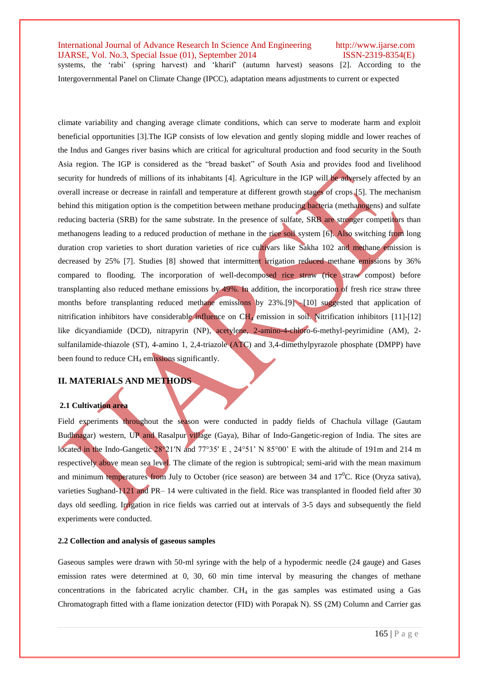systems, the "rabi" (spring harvest) and "kharif" (autumn harvest) seasons [2]. According to the Intergovernmental Panel on Climate Change (IPCC), adaptation means adjustments to current or expected

climate variability and changing average climate conditions, which can serve to moderate harm and exploit beneficial opportunities [3].The IGP consists of low elevation and gently sloping middle and lower reaches of the Indus and Ganges river basins which are critical for agricultural production and food security in the South Asia region. The IGP is considered as the "bread basket" of South Asia and provides food and livelihood security for hundreds of millions of its inhabitants [4]. Agriculture in the IGP will be adversely affected by an overall increase or decrease in rainfall and temperature at different growth stages of crops [5]. The mechanism behind this mitigation option is the competition between methane producing bacteria (methanogens) and sulfate reducing bacteria (SRB) for the same substrate. In the presence of sulfate, SRB are stronger competitors than methanogens leading to a reduced production of methane in the rice soil system [6]. Also switching from long duration crop varieties to short duration varieties of rice cultivars like Sakha 102 and methane emission is decreased by 25% [7]. Studies [8] showed that intermittent irrigation reduced methane emissions by 36% compared to flooding. The incorporation of well-decomposed rice straw (rice straw compost) before transplanting also reduced methane emissions by 49%. In addition, the incorporation of fresh rice straw three months before transplanting reduced methane emissions by 23%.[9] –[10] suggested that application of nitrification inhibitors have considerable influence on CH<sup>4</sup> emission in soil. Nitrification inhibitors [11]-[12] like dicyandiamide (DCD), nitrapyrin (NP), acetylene, 2-amino-4-chloro-6-methyl-peyrimidine (AM), 2 sulfanilamide-thiazole (ST), 4-amino 1, 2,4-triazole (ATC) and 3,4-dimethylpyrazole phosphate (DMPP) have been found to reduce  $CH<sub>4</sub>$  emissions significantly.

### **II. MATERIALS AND METHODS**

### **2.1 Cultivation area**

Field experiments throughout the season were conducted in paddy fields of Chachula village (Gautam Budhnagar) western, UP and Rasalpur village (Gaya), Bihar of Indo-Gangetic-region of India. The sites are located in the Indo-Gangetic 28°21′N and 77°35′ E, 24°51' N 85°00' E with the altitude of 191m and 214 m respectively above mean sea level. The climate of the region is subtropical; semi-arid with the mean maximum and minimum temperatures from July to October (rice season) are between 34 and  $17^{\circ}$ C. Rice (Oryza sativa), varieties Sughand-1121 and PR– 14 were cultivated in the field. Rice was transplanted in flooded field after 30 days old seedling. Irrigation in rice fields was carried out at intervals of 3-5 days and subsequently the field experiments were conducted.

### **2.2 Collection and analysis of gaseous samples**

Gaseous samples were drawn with 50-ml syringe with the help of a hypodermic needle (24 gauge) and Gases emission rates were determined at 0, 30, 60 min time interval by measuring the changes of methane concentrations in the fabricated acrylic chamber.  $CH<sub>4</sub>$  in the gas samples was estimated using a Gas Chromatograph fitted with a flame ionization detector (FID) with Porapak N). SS (2M) Column and Carrier gas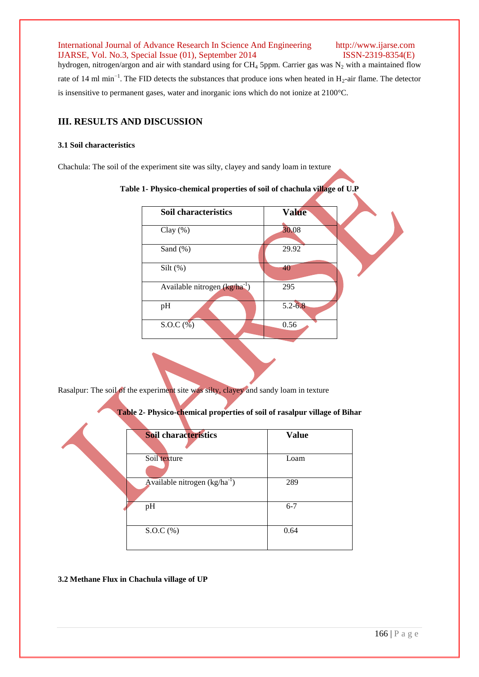hydrogen, nitrogen/argon and air with standard using for CH<sub>4</sub> 5ppm. Carrier gas was N<sub>2</sub> with a maintained flow rate of 14 ml min<sup>-1</sup>. The FID detects the substances that produce ions when heated in  $H_2$ -air flame. The detector is insensitive to permanent gases, water and inorganic ions which do not ionize at 2100°C.

# **III. RESULTS AND DISCUSSION**

### **3.1 Soil characteristics**

Chachula: The soil of the experiment site was silty, clayey and sandy loam in texture

| <b>Soil characteristics</b>               | <b>Value</b> |  |
|-------------------------------------------|--------------|--|
| Clay $(\%)$                               | 30.08        |  |
| Sand (%)                                  | 29.92        |  |
| Silt $(\%)$                               | 40           |  |
| Available nitrogen (kg/ha <sup>-1</sup> ) | 295          |  |
| pH                                        | $5.2 - 6.8$  |  |
| $S.O.C.$ $%$                              | 0.56         |  |

**Table 1- Physico-chemical properties of soil of chachula village of U.P**

Rasalpur: The soil of the experiment site was silty, clayey and sandy loam in texture

**Table 2- Physico-chemical properties of soil of rasalpur village of Bihar**

| <b>Soil characteristics</b>       | <b>Value</b> |
|-----------------------------------|--------------|
|                                   |              |
| Soil texture                      | Loam         |
| Available nitrogen $(kg/ha^{-1})$ | 289          |
| pH                                | $6 - 7$      |
| $S.O.C.$ (%)                      | 0.64         |

### **3.2 Methane Flux in Chachula village of UP**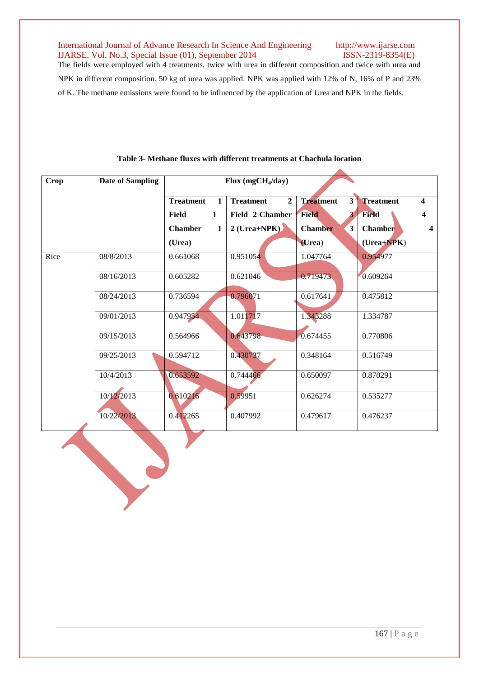$\Delta$ 

The fields were employed with 4 treatments, twice with urea in different composition and twice with urea and NPK in different composition. 50 kg of urea was applied. NPK was applied with 12% of N, 16% of P and 23% of K. The methane emissions were found to be influenced by the application of Urea and NPK in the fields.

| <b>Crop</b> | <b>Date of Sampling</b> | Flux $(mgCH4/day)$               |                                  |                                             |                  |                         |
|-------------|-------------------------|----------------------------------|----------------------------------|---------------------------------------------|------------------|-------------------------|
|             |                         | <b>Treatment</b><br>$\mathbf{1}$ | <b>Treatment</b><br>$\mathbf{2}$ | $\overline{\mathbf{3}}$<br><b>Treatment</b> | <b>Treatment</b> | $\blacktriangle$        |
|             |                         | Field<br>$\mathbf{1}$            | Field 2 Chamber                  | <b>Field</b>                                | <b>Field</b>     |                         |
|             |                         | <b>Chamber</b><br>1              | $2$ (Urea+NPK)                   | 3<br><b>Chamber</b>                         | <b>Chamber</b>   | $\overline{\mathbf{4}}$ |
|             |                         | (Urea)                           |                                  | (Urea)                                      | $(Urea+NPK)$     |                         |
| Rice        | 08/8/2013               | 0.661068                         | 0.951054                         | 1.047764                                    | 0.954977         |                         |
|             | 08/16/2013              | 0.605282                         | 0.621046                         | 0.719473                                    | 0.609264         |                         |
|             | 08/24/2013              | 0.736594                         | 0.796071                         | 0.617641                                    | 0.475812         |                         |
|             | 09/01/2013              | 0.947954                         | 1.011717                         | 1.343288                                    | 1.334787         |                         |
|             | 09/15/2013              | 0.564966                         | 0.643798                         | 0.674455                                    | 0.770806         |                         |
|             | 09/25/2013              | 0.594712                         | 0.430737                         | 0.348164                                    | 0.516749         |                         |
|             | 10/4/2013               | 0.653592                         | 0.744466                         | 0.650097                                    | 0.870291         |                         |
|             | 10/12/2013              | 0.610216                         | 0.59951                          | 0.626274                                    | 0.535277         |                         |
|             | 10/22/2013              | 0.412265                         | 0.407992                         | 0.479617                                    | 0.476237         |                         |

# **Table 3- Methane fluxes with different treatments at Chachula location**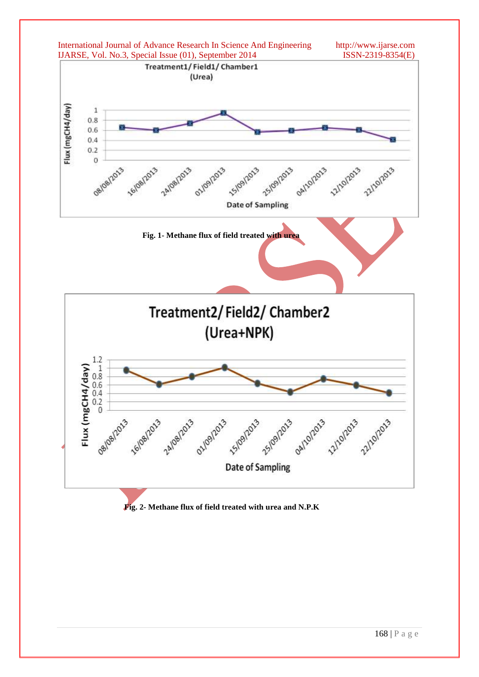

## **Fig. 2- Methane flux of field treated with urea and N.P.K**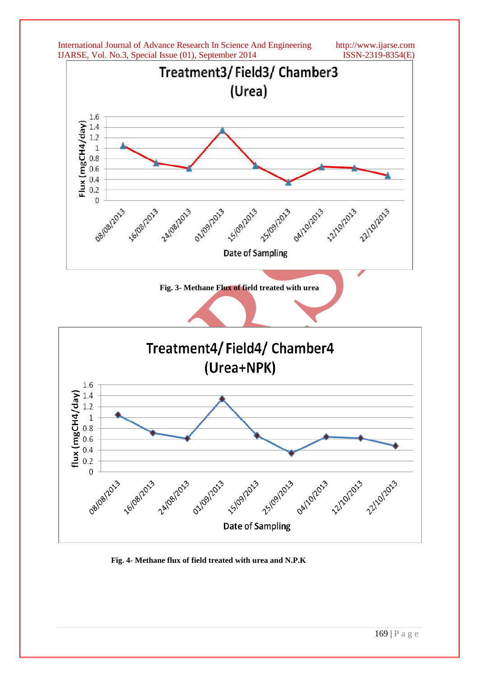

 **Fig. 4- Methane flux of field treated with urea and N.P.K**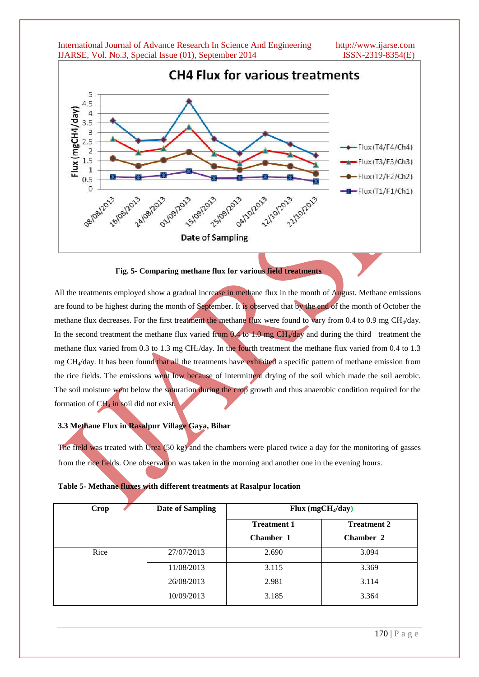

 **Fig. 5- Comparing methane flux for various field treatments** 

All the treatments employed show a gradual increase in methane flux in the month of  $\Lambda$ ugust. Methane emissions are found to be highest during the month of September. It is observed that by the end of the month of October the methane flux decreases. For the first treatment the methane flux were found to vary from 0.4 to 0.9 mg CH<sub>4</sub>/day. In the second treatment the methane flux varied from  $0.4$  to 1.0 mg CH $\sqrt{day}$  and during the third treatment the methane flux varied from 0.3 to 1.3 mg CH<sub>4</sub>/day. In the fourth treatment the methane flux varied from 0.4 to 1.3 mg CH4/day. It has been found that all the treatments have exhibited a specific pattern of methane emission from the rice fields. The emissions went low because of intermittent drying of the soil which made the soil aerobic. The soil moisture went below the saturation during the crop growth and thus anaerobic condition required for the formation of  $CH<sub>4</sub>$  in soil did not exist.

### **3.3 Methane Flux in Rasalpur Village Gaya, Bihar**

The field was treated with Urea (50 kg) and the chambers were placed twice a day for the monitoring of gasses from the rice fields. One observation was taken in the morning and another one in the evening hours.

|  |  |  |  | Table 5- Methane fluxes with different treatments at Rasalpur location |
|--|--|--|--|------------------------------------------------------------------------|
|--|--|--|--|------------------------------------------------------------------------|

| Crop | <b>Date of Sampling</b> | Flux $(mgCH_4/day)$ |                    |
|------|-------------------------|---------------------|--------------------|
|      |                         | <b>Treatment 1</b>  | <b>Treatment 2</b> |
|      |                         | Chamber 1           | <b>Chamber 2</b>   |
| Rice | 27/07/2013              | 2.690               | 3.094              |
|      | 11/08/2013              | 3.115               | 3.369              |
|      | 26/08/2013              | 2.981               | 3.114              |
|      | 10/09/2013              | 3.185               | 3.364              |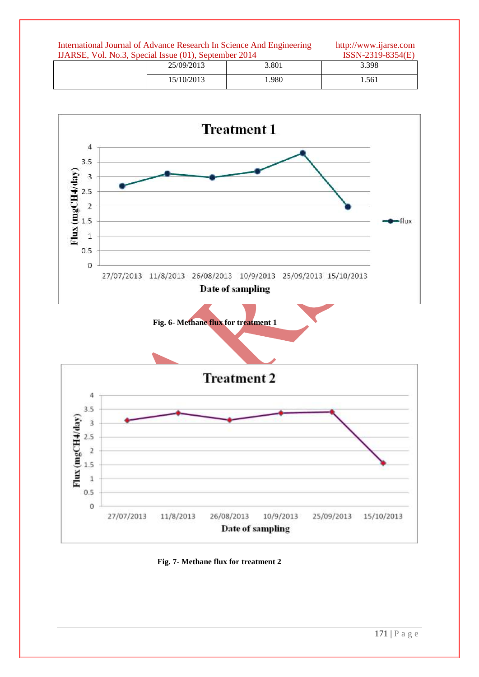| International Journal of Advance Research In Science And Engineering<br>IJARSE, Vol. No.3, Special Issue (01), September 2014 |  |            |       | http://www.ijarse.com<br>$ISSN-2319-8354(E)$ |  |
|-------------------------------------------------------------------------------------------------------------------------------|--|------------|-------|----------------------------------------------|--|
|                                                                                                                               |  | 25/09/2013 | 3.801 | 3.398                                        |  |
|                                                                                                                               |  | 15/10/2013 | 1.980 | 1.561                                        |  |



 **Fig. 7- Methane flux for treatment 2**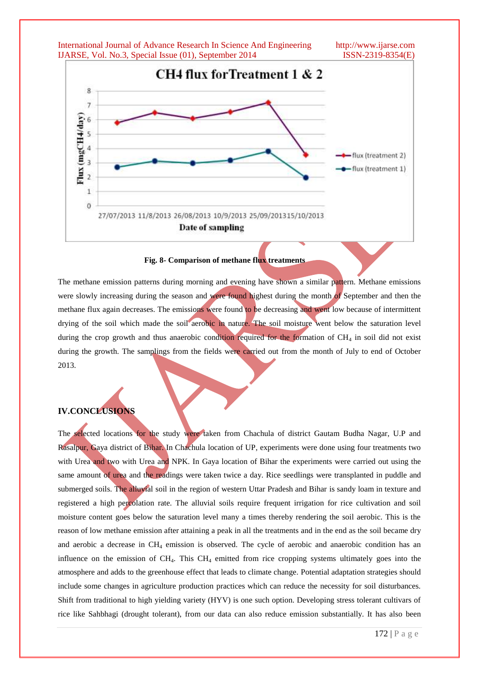International Journal of Advance Research In Science And Engineering http://www.ijarse.com IJARSE, Vol. No.3, Special Issue (01), September 2014 ISSN-2319-8354(E) CH4 flux for Treatment 1 & 2 8  $\overline{7}$ Flux (mgCH4/day) 6 5  $\overline{a}$ flux (treatment 2) 3 flux (treatment 1)  $\overline{2}$  $\mathbf{1}$  $\overline{0}$ 27/07/2013 11/8/2013 26/08/2013 10/9/2013 25/09/201315/10/2013 Date of sampling

### **Fig. 8- Comparison of methane flux treatments**

The methane emission patterns during morning and evening have shown a similar pattern. Methane emissions were slowly increasing during the season and were found highest during the month of September and then the methane flux again decreases. The emissions were found to be decreasing and went low because of intermittent drying of the soil which made the soil aerobic in nature. The soil moisture went below the saturation level during the crop growth and thus anaerobic condition required for the formation of CH<sub>4</sub> in soil did not exist during the growth. The samplings from the fields were carried out from the month of July to end of October 2013.

# **IV.CONCLUSIONS**

The selected locations for the study were taken from Chachula of district Gautam Budha Nagar, U.P and Rasalpur, Gaya district of Bihar. In Chachula location of UP, experiments were done using four treatments two with Urea and two with Urea and NPK. In Gaya location of Bihar the experiments were carried out using the same amount of urea and the readings were taken twice a day. Rice seedlings were transplanted in puddle and submerged soils. The alluvial soil in the region of western Uttar Pradesh and Bihar is sandy loam in texture and registered a high percolation rate. The alluvial soils require frequent irrigation for rice cultivation and soil moisture content goes below the saturation level many a times thereby rendering the soil aerobic. This is the reason of low methane emission after attaining a peak in all the treatments and in the end as the soil became dry and aerobic a decrease in CH<sup>4</sup> emission is observed. The cycle of aerobic and anaerobic condition has an influence on the emission of  $CH_4$ . This  $CH_4$  emitted from rice cropping systems ultimately goes into the atmosphere and adds to the greenhouse effect that leads to climate change. Potential adaptation strategies should include some changes in agriculture production practices which can reduce the necessity for soil disturbances. Shift from traditional to high yielding variety (HYV) is one such option. Developing stress tolerant cultivars of rice like Sahbhagi (drought tolerant), from our data can also reduce emission substantially. It has also been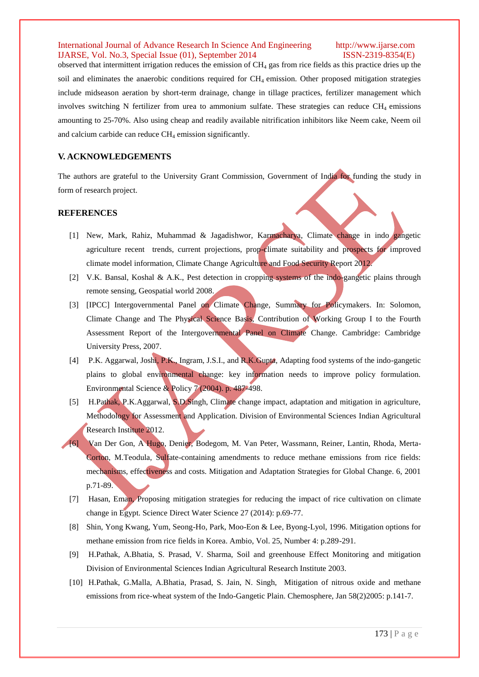observed that intermittent irrigation reduces the emission of CH<sup>4</sup> gas from rice fields as this practice dries up the soil and eliminates the anaerobic conditions required for CH4 emission. Other proposed mitigation strategies include midseason aeration by short-term drainage, change in tillage practices, fertilizer management which involves switching N fertilizer from urea to ammonium sulfate. These strategies can reduce  $CH_4$  emissions amounting to 25-70%. Also using cheap and readily available nitrification inhibitors like Neem cake, Neem oil and calcium carbide can reduce  $CH_4$  emission significantly.

# **V. ACKNOWLEDGEMENTS**

The authors are grateful to the University Grant Commission, Government of India for funding the study in form of research project.

### **REFERENCES**

- [1] New, Mark, Rahiz, Muhammad & Jagadishwor, Karmacharya, Climate change in indo gangetic agriculture recent trends, current projections, prop-climate suitability and prospects for improved climate model information, Climate Change Agriculture and Food Security Report 2012.
- [2] V.K. Bansal, Koshal & A.K., Pest detection in cropping systems of the indo-gangetic plains through remote sensing, Geospatial world 2008.
- [3] [IPCC] Intergovernmental Panel on Climate Change, Summary for Policymakers. In: Solomon, Climate Change and The Physical Science Basis, Contribution of Working Group I to the Fourth Assessment Report of the Intergovernmental Panel on Climate Change. Cambridge: Cambridge University Press, 2007.
- [4] P.K. Aggarwal, Joshi, P.K., Ingram, J.S.I., and R.K.Gupta, Adapting food systems of the indo-gangetic plains to global environmental change: key information needs to improve policy formulation. Environmental Science & Policy 7 (2004). p. 487-498.
- [5] H.Pathak, P.K.Aggarwal, S.D.Singh, Climate change impact, adaptation and mitigation in agriculture, Methodology for Assessment and Application. Division of Environmental Sciences Indian Agricultural Research Institute 2012.
- [6] Van Der Gon, A Hugo, Denier, Bodegom, M. Van Peter, Wassmann, Reiner, Lantin, Rhoda, Merta-Corton, M.Teodula, Sulfate-containing amendments to reduce methane emissions from rice fields: mechanisms, effectiveness and costs. Mitigation and Adaptation Strategies for Global Change. 6, 2001 p.71-89.
- [7] Hasan, Eman, Proposing mitigation strategies for reducing the impact of rice cultivation on climate change in Egypt. Science Direct Water Science 27 (2014): p.69-77.
- [8] Shin, Yong Kwang, Yum, Seong-Ho, Park, Moo-Eon & Lee, Byong-Lyol, 1996. Mitigation options for methane emission from rice fields in Korea. Ambio, Vol. 25, Number 4: p.289-291.
- [9] H.Pathak, A.Bhatia, S. Prasad, V. Sharma, Soil and greenhouse Effect Monitoring and mitigation Division of Environmental Sciences Indian Agricultural Research Institute 2003.
- [10] H.Pathak, G.Malla, A.Bhatia, Prasad, S. Jain, N. Singh, Mitigation of nitrous oxide and methane emissions from rice-wheat system of the Indo-Gangetic Plain. Chemosphere, Jan 58(2)2005: p.141-7.